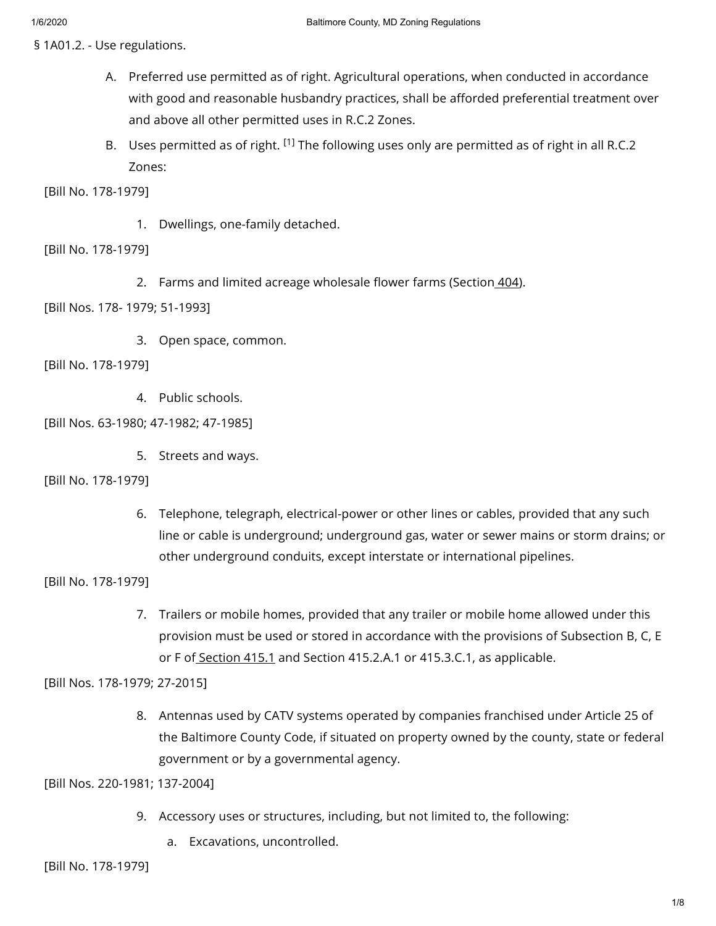§ 1A01.2. - Use regulations.

- A. Preferred use permitted as of right. Agricultural operations, when conducted in accordance with good and reasonable husbandry practices, shall be afforded preferential treatment over and above all other permitted uses in R.C.2 Zones.
- B. Uses permitted as of right.  $^{[1]}$  The following uses only are permitted as of right in all R.C.2 Zones:

[Bill No. 178-1979]

1. Dwellings, one-family detached.

[Bill No. 178-1979]

2. Farms and limited acreage wholesale flower farms (Section [404\)](https://library.municode.com/).

[Bill Nos. 178- 1979; 51-1993]

3. Open space, common.

[Bill No. 178-1979]

4. Public schools.

[Bill Nos. 63-1980; 47-1982; 47-1985]

5. Streets and ways.

[Bill No. 178-1979]

6. Telephone, telegraph, electrical-power or other lines or cables, provided that any such line or cable is underground; underground gas, water or sewer mains or storm drains; or other underground conduits, except interstate or international pipelines.

[Bill No. 178-1979]

7. Trailers or mobile homes, provided that any trailer or mobile home allowed under this provision must be used or stored in accordance with the provisions of Subsection B, C, E or F of [Section](https://library.municode.com/) 415.1 and Section 415.2.A.1 or 415.3.C.1, as applicable.

[Bill Nos. 178-1979; 27-2015]

8. Antennas used by CATV systems operated by companies franchised under Article 25 of the Baltimore County Code, if situated on property owned by the county, state or federal government or by a governmental agency.

[Bill Nos. 220-1981; 137-2004]

- 9. Accessory uses or structures, including, but not limited to, the following:
	- a. Excavations, uncontrolled.

[Bill No. 178-1979]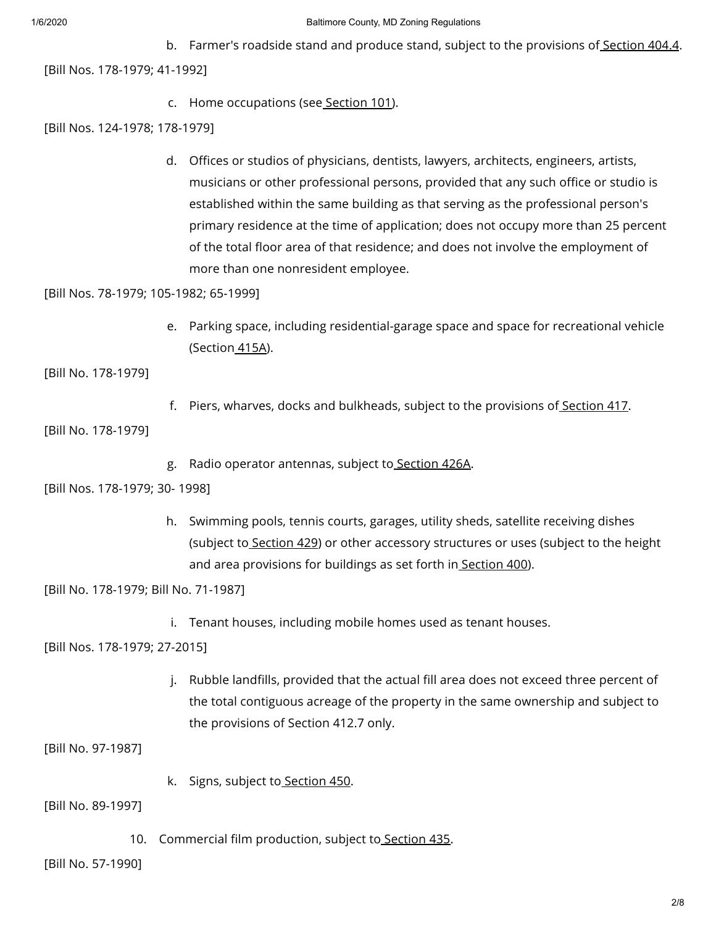### 1/6/2020 Baltimore County, MD Zoning Regulations

b. Farmer's roadside stand and produce stand, subject to the provisions of <u>[Section](https://library.municode.com/) 404.4</u>. [Bill Nos. 178-1979; 41-1992]

c. Home occupations (see [Section](https://library.municode.com/) 101).

[Bill Nos. 124-1978; 178-1979]

d. Offices or studios of physicians, dentists, lawyers, architects, engineers, artists, musicians or other professional persons, provided that any such office or studio is established within the same building as that serving as the professional person's primary residence at the time of application; does not occupy more than 25 percent of the total floor area of that residence; and does not involve the employment of more than one nonresident employee.

[Bill Nos. 78-1979; 105-1982; 65-1999]

e. Parking space, including residential-garage space and space for recreational vehicle (Section [415A](https://library.municode.com/)).

[Bill No. 178-1979]

f. Piers, wharves, docks and bulkheads, subject to the provisions of [Section](https://library.municode.com/) 417.

[Bill No. 178-1979]

g. Radio operator antennas, subject to<u> [Section](https://library.municode.com/) 426A</u>.

[Bill Nos. 178-1979; 30- 1998]

h. Swimming pools, tennis courts, garages, utility sheds, satellite receiving dishes (subject to [Section](https://library.municode.com/) 429) or other accessory structures or uses (subject to the height and area provisions for buildings as set forth in [Section](https://library.municode.com/) 400).

[Bill No. 178-1979; Bill No. 71-1987]

i. Tenant houses, including mobile homes used as tenant houses.

[Bill Nos. 178-1979; 27-2015]

j. Rubble landfills, provided that the actual fill area does not exceed three percent of the total contiguous acreage of the property in the same ownership and subject to the provisions of Section 412.7 only.

[Bill No. 97-1987]

k. Signs, subject to [Section](https://library.municode.com/) 450.

[Bill No. 89-1997]

10. Commercial film production, subject to [Section](https://library.municode.com/) 435.

[Bill No. 57-1990]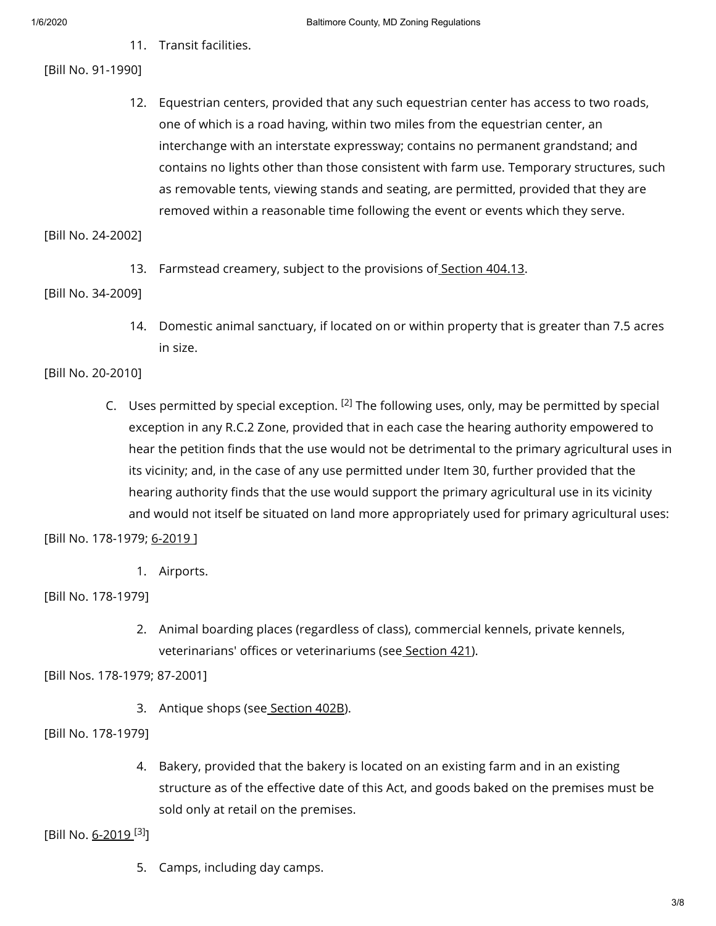11. Transit facilities.

# [Bill No. 91-1990]

12. Equestrian centers, provided that any such equestrian center has access to two roads, one of which is a road having, within two miles from the equestrian center, an interchange with an interstate expressway; contains no permanent grandstand; and contains no lights other than those consistent with farm use. Temporary structures, such as removable tents, viewing stands and seating, are permitted, provided that they are removed within a reasonable time following the event or events which they serve.

[Bill No. 24-2002]

13. Farmstead creamery, subject to the provisions of [Section](https://library.municode.com/) 404.13.

[Bill No. 34-2009]

14. Domestic animal sanctuary, if located on or within property that is greater than 7.5 acres in size.

[Bill No. 20-2010]

C. Uses permitted by special exception.  $[2]$  The following uses, only, may be permitted by special exception in any R.C.2 Zone, provided that in each case the hearing authority empowered to hear the petition finds that the use would not be detrimental to the primary agricultural uses in its vicinity; and, in the case of any use permitted under Item 30, further provided that the hearing authority finds that the use would support the primary agricultural use in its vicinity and would not itself be situated on land more appropriately used for primary agricultural uses:

[Bill No. 178-1979; [6-2019](https://library.municode.com/)]

1. Airports.

[Bill No. 178-1979]

2. Animal boarding places (regardless of class), commercial kennels, private kennels, veterinarians' offices or veterinariums (see [Section](https://library.municode.com/) 421).

[Bill Nos. 178-1979; 87-2001]

3. Antique shops (see [Section](https://library.municode.com/) 402B).

[Bill No. 178-1979]

4. Bakery, provided that the bakery is located on an existing farm and in an existing structure as of the effective date of this Act, and goods baked on the premises must be sold only at retail on the premises.

[Bill No. <u>[6-2019](https://library.municode.com/) [3]</u>

5. Camps, including day camps.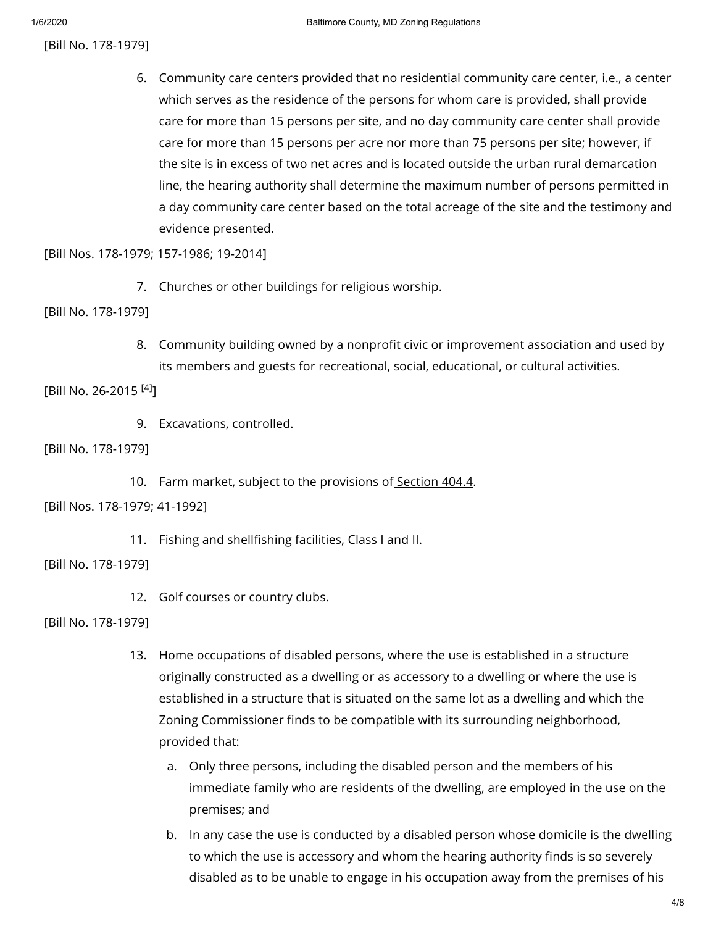[Bill No. 178-1979]

6. Community care centers provided that no residential community care center, i.e., a center which serves as the residence of the persons for whom care is provided, shall provide care for more than 15 persons per site, and no day community care center shall provide care for more than 15 persons per acre nor more than 75 persons per site; however, if the site is in excess of two net acres and is located outside the urban rural demarcation line, the hearing authority shall determine the maximum number of persons permitted in a day community care center based on the total acreage of the site and the testimony and evidence presented.

[Bill Nos. 178-1979; 157-1986; 19-2014]

7. Churches or other buildings for religious worship.

[Bill No. 178-1979]

8. Community building owned by a nonprofit civic or improvement association and used by its members and guests for recreational, social, educational, or cultural activities.

[Bill No. 26-2015<sup>[4]</sup>]

9. Excavations, controlled.

[Bill No. 178-1979]

10. Farm market, subject to the provisions of [Section](https://library.municode.com/) 404.4.

[Bill Nos. 178-1979; 41-1992]

11. Fishing and shellfishing facilities, Class I and II.

[Bill No. 178-1979]

12. Golf courses or country clubs.

[Bill No. 178-1979]

- 13. Home occupations of disabled persons, where the use is established in a structure originally constructed as a dwelling or as accessory to a dwelling or where the use is established in a structure that is situated on the same lot as a dwelling and which the Zoning Commissioner finds to be compatible with its surrounding neighborhood, provided that:
	- a. Only three persons, including the disabled person and the members of his immediate family who are residents of the dwelling, are employed in the use on the premises; and
	- b. In any case the use is conducted by a disabled person whose domicile is the dwelling to which the use is accessory and whom the hearing authority finds is so severely disabled as to be unable to engage in his occupation away from the premises of his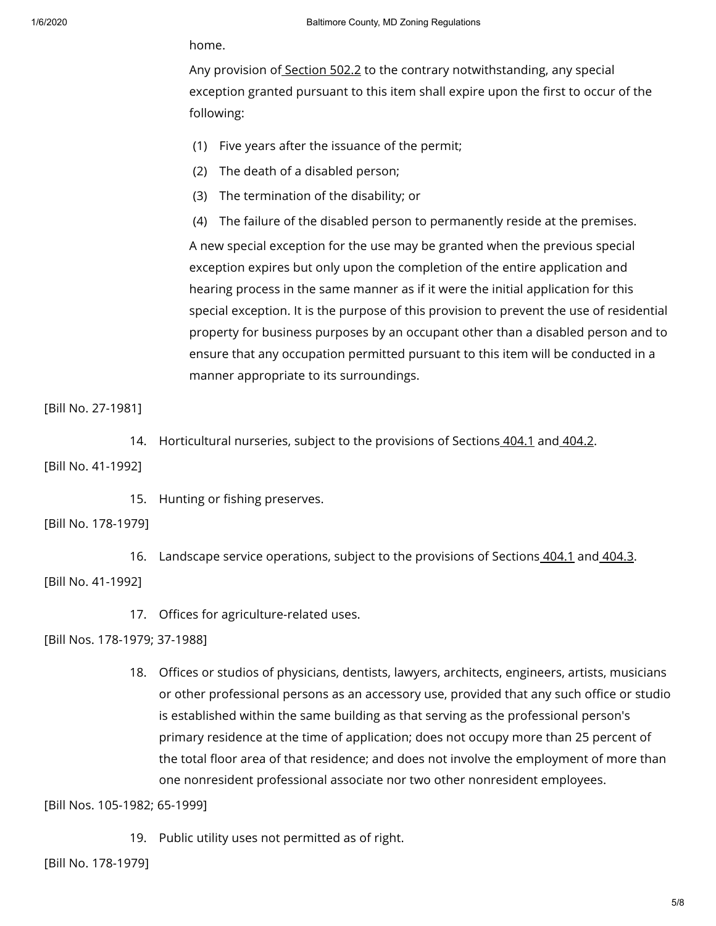home.

Any provision of [Section](https://library.municode.com/) 502.2 to the contrary notwithstanding, any special exception granted pursuant to this item shall expire upon the first to occur of the following:

- (1) Five years after the issuance of the permit;
- (2) The death of a disabled person;
- (3) The termination of the disability; or
- (4) The failure of the disabled person to permanently reside at the premises.

A new special exception for the use may be granted when the previous special exception expires but only upon the completion of the entire application and hearing process in the same manner as if it were the initial application for this special exception. It is the purpose of this provision to prevent the use of residential property for business purposes by an occupant other than a disabled person and to ensure that any occupation permitted pursuant to this item will be conducted in a manner appropriate to its surroundings.

# [Bill No. 27-1981]

14. Horticultural nurseries, subject to the provisions of Sections [404.1](https://library.municode.com/) and [404.2](https://library.municode.com/).

[Bill No. 41-1992]

15. Hunting or fishing preserves.

# [Bill No. 178-1979]

16. Landscape service operations, subject to the provisions of Sections [404.1](https://library.municode.com/) and [404.3](https://library.municode.com/). [Bill No. 41-1992]

17. Offices for agriculture-related uses.

# [Bill Nos. 178-1979; 37-1988]

18. Offices or studios of physicians, dentists, lawyers, architects, engineers, artists, musicians or other professional persons as an accessory use, provided that any such office or studio is established within the same building as that serving as the professional person's primary residence at the time of application; does not occupy more than 25 percent of the total floor area of that residence; and does not involve the employment of more than one nonresident professional associate nor two other nonresident employees.

[Bill Nos. 105-1982; 65-1999]

19. Public utility uses not permitted as of right.

[Bill No. 178-1979]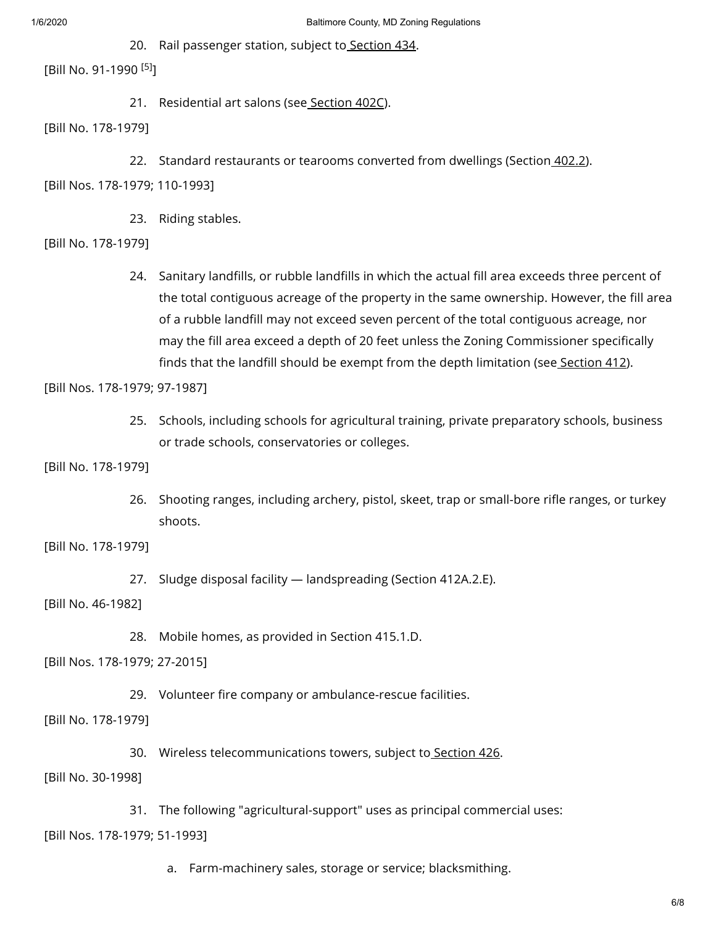20. Rail passenger station, subject to **[Section](https://library.municode.com/) 434**.

[Bill No. 91-1990<sup>[5]</sup>]

21. Residential art salons (see [Section](https://library.municode.com/) 402C).

[Bill No. 178-1979]

- 22. Standard restaurants or tearooms converted from dwellings (Section*\_402.2*).
- [Bill Nos. 178-1979; 110-1993]
	- 23. Riding stables.
- [Bill No. 178-1979]
	- 24. Sanitary landfills, or rubble landfills in which the actual fill area exceeds three percent of the total contiguous acreage of the property in the same ownership. However, the fill area of a rubble landfill may not exceed seven percent of the total contiguous acreage, nor may the fill area exceed a depth of 20 feet unless the Zoning Commissioner specifically finds that the landfill should be exempt from the depth limitation (see [Section](https://library.municode.com/) 412).

[Bill Nos. 178-1979; 97-1987]

25. Schools, including schools for agricultural training, private preparatory schools, business or trade schools, conservatories or colleges.

[Bill No. 178-1979]

26. Shooting ranges, including archery, pistol, skeet, trap or small-bore rifle ranges, or turkey shoots.

[Bill No. 178-1979]

27. Sludge disposal facility — landspreading (Section 412A.2.E).

[Bill No. 46-1982]

28. Mobile homes, as provided in Section 415.1.D.

[Bill Nos. 178-1979; 27-2015]

29. Volunteer fire company or ambulance-rescue facilities.

[Bill No. 178-1979]

30. Wireless telecommunications towers, subject to [Section](https://library.municode.com/) 426.

[Bill No. 30-1998]

31. The following "agricultural-support" uses as principal commercial uses:

[Bill Nos. 178-1979; 51-1993]

a. Farm-machinery sales, storage or service; blacksmithing.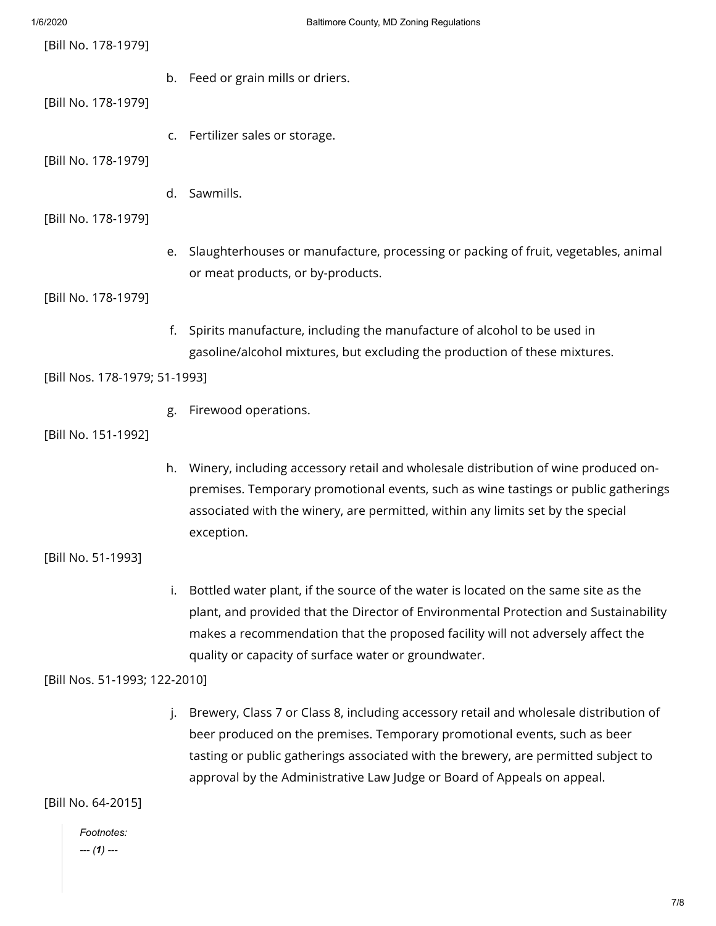| 1/6/2020                      | Baltimore County, MD Zoning Regulations                                                                                                                                                                                                                                                                                             |
|-------------------------------|-------------------------------------------------------------------------------------------------------------------------------------------------------------------------------------------------------------------------------------------------------------------------------------------------------------------------------------|
| [Bill No. 178-1979]           |                                                                                                                                                                                                                                                                                                                                     |
|                               | b. Feed or grain mills or driers.                                                                                                                                                                                                                                                                                                   |
| [Bill No. 178-1979]           |                                                                                                                                                                                                                                                                                                                                     |
|                               | c. Fertilizer sales or storage.                                                                                                                                                                                                                                                                                                     |
| [Bill No. 178-1979]           |                                                                                                                                                                                                                                                                                                                                     |
| [Bill No. 178-1979]           | Sawmills.<br>d.                                                                                                                                                                                                                                                                                                                     |
|                               | e. Slaughterhouses or manufacture, processing or packing of fruit, vegetables, animal<br>or meat products, or by-products.                                                                                                                                                                                                          |
| [Bill No. 178-1979]           |                                                                                                                                                                                                                                                                                                                                     |
|                               | Spirits manufacture, including the manufacture of alcohol to be used in<br>f.<br>gasoline/alcohol mixtures, but excluding the production of these mixtures.                                                                                                                                                                         |
| [Bill Nos. 178-1979; 51-1993] |                                                                                                                                                                                                                                                                                                                                     |
|                               | Firewood operations.<br>g.                                                                                                                                                                                                                                                                                                          |
| [Bill No. 151-1992]           |                                                                                                                                                                                                                                                                                                                                     |
|                               | Winery, including accessory retail and wholesale distribution of wine produced on-<br>h.<br>premises. Temporary promotional events, such as wine tastings or public gatherings<br>associated with the winery, are permitted, within any limits set by the special<br>exception.                                                     |
| [Bill No. 51-1993]            |                                                                                                                                                                                                                                                                                                                                     |
|                               | Bottled water plant, if the source of the water is located on the same site as the<br>i.<br>plant, and provided that the Director of Environmental Protection and Sustainability<br>makes a recommendation that the proposed facility will not adversely affect the<br>quality or capacity of surface water or groundwater.         |
| [Bill Nos. 51-1993; 122-2010] |                                                                                                                                                                                                                                                                                                                                     |
|                               | Brewery, Class 7 or Class 8, including accessory retail and wholesale distribution of<br>beer produced on the premises. Temporary promotional events, such as beer<br>tasting or public gatherings associated with the brewery, are permitted subject to<br>approval by the Administrative Law Judge or Board of Appeals on appeal. |
| [Bill No. 64-2015]            |                                                                                                                                                                                                                                                                                                                                     |
| Footnotes:<br>$-- (1) --$     |                                                                                                                                                                                                                                                                                                                                     |